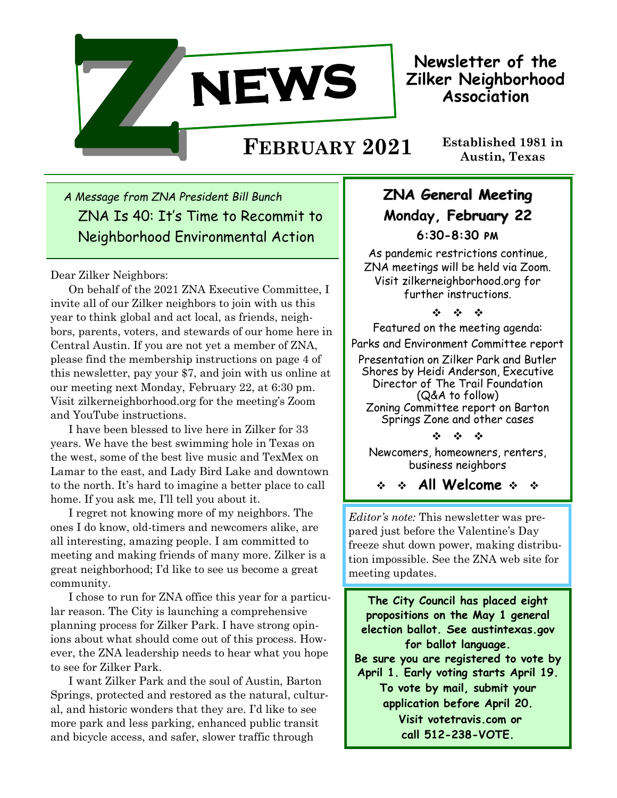

**Newsletter of the Zilker Neighborhood Association**

# **Established 1981 in**

*A Message from ZNA President Bill Bunch* ZNA Is 40: It's Time to Recommit to Neighborhood Environmental Action

#### Dear Zilker Neighbors:

On behalf of the 2021 ZNA Executive Committee, I invite all of our Zilker neighbors to join with us this year to think global and act local, as friends, neighbors, parents, voters, and stewards of our home here in Central Austin. If you are not yet a member of ZNA, please find the membership instructions on page 4 of this newsletter, pay your \$7, and join with us online at our meeting next Monday, February 22, at 6:30 pm. Visit zilkerneighborhood.org for the meeting's Zoom and YouTube instructions.

I have been blessed to live here in Zilker for 33 years. We have the best swimming hole in Texas on the west, some of the best live music and TexMex on Lamar to the east, and Lady Bird Lake and downtown to the north. It's hard to imagine a better place to call home. If you ask me, I'll tell you about it.

I regret not knowing more of my neighbors. The ones I do know, old-timers and newcomers alike, are all interesting, amazing people. I am committed to meeting and making friends of many more. Zilker is a great neighborhood; I'd like to see us become a great community.

I chose to run for ZNA office this year for a particular reason. The City is launching a comprehensive planning process for Zilker Park. I have strong opinions about what should come out of this process. However, the ZNA leadership needs to hear what you hope to see for Zilker Park.

I want Zilker Park and the soul of Austin, Barton Springs, protected and restored as the natural, cultural, and historic wonders that they are. I'd like to see more park and less parking, enhanced public transit and bicycle access, and safer, slower traffic through

## **ZNA General Meeting Monday, February 22 6:30-8:30 pm**

As pandemic restrictions continue, ZNA meetings will be held via Zoom. Visit zilkerneighborhood.org for further instructions.

 $45 - 45 = 45$ 

Featured on the meeting agenda:

Parks and Environment Committee report

Presentation on Zilker Park and Butler Shores by Heidi Anderson, Executive Director of The Trail Foundation (Q&A to follow) Zoning Committee report on Barton Springs Zone and other cases

 $\label{eq:2.1} \frac{d\mathbf{y}}{dt} = \frac{d\mathbf{y}}{dt} = \frac{d\mathbf{y}}{dt}$ 

Newcomers, homeowners, renters, business neighbors

**All Welcome** 

*Editor's note:* This newsletter was prepared just before the Valentine's Day freeze shut down power, making distribution impossible. See the ZNA web site for meeting updates.

**The City Council has placed eight propositions on the May 1 general election ballot. See austintexas.gov for ballot language. Be sure you are registered to vote by April 1. Early voting starts April 19. To vote by mail, submit your application before April 20. Visit votetravis.com or call 512-238-VOTE.**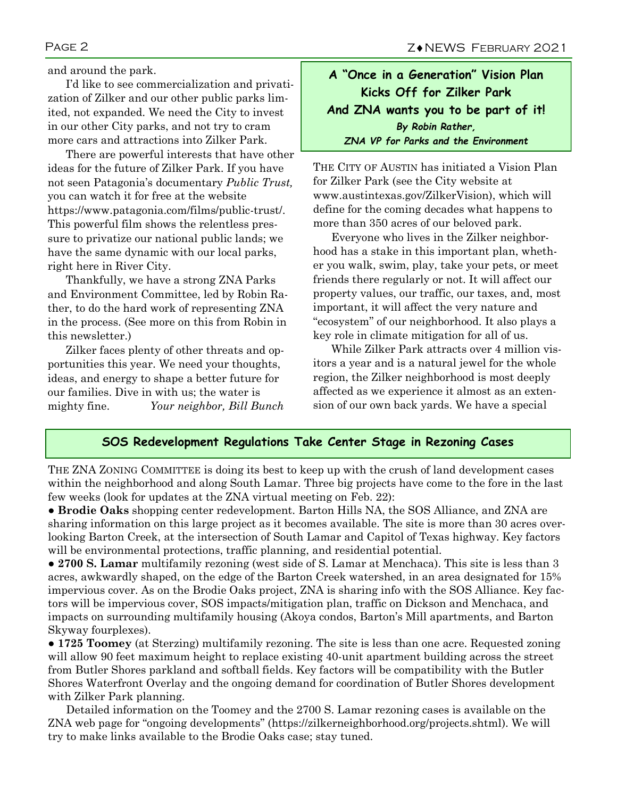and around the park.

I'd like to see commercialization and privatization of Zilker and our other public parks limited, not expanded. We need the City to invest in our other City parks, and not try to cram more cars and attractions into Zilker Park.

There are powerful interests that have other ideas for the future of Zilker Park. If you have not seen Patagonia's documentary *Public Trust,* you can watch it for free at the website https://www.patagonia.com/films/public-trust/. This powerful film shows the relentless pressure to privatize our national public lands; we have the same dynamic with our local parks, right here in River City.

Thankfully, we have a strong ZNA Parks and Environment Committee, led by Robin Rather, to do the hard work of representing ZNA in the process. (See more on this from Robin in this newsletter.)

Zilker faces plenty of other threats and opportunities this year. We need your thoughts, ideas, and energy to shape a better future for our families. Dive in with us; the water is mighty fine. *Your neighbor, Bill Bunch*

## **A "Once in a Generation" Vision Plan Kicks Off for Zilker Park And ZNA wants you to be part of it!** *By Robin Rather, ZNA VP for Parks and the Environment*

THE CITY OF AUSTIN has initiated a Vision Plan for Zilker Park (see the City website at www.[austintexas.gov/ZilkerVision\),](https://www.austintexas.gov/ZilkerVision) which will define for the coming decades what happens to more than 350 acres of our beloved park.

Everyone who lives in the Zilker neighborhood has a stake in this important plan, whether you walk, swim, play, take your pets, or meet friends there regularly or not. It will affect our property values, our traffic, our taxes, and, most important, it will affect the very nature and "ecosystem" of our neighborhood. It also plays a key role in climate mitigation for all of us.

While Zilker Park attracts over 4 million visitors a year and is a natural jewel for the whole region, the Zilker neighborhood is most deeply affected as we experience it almost as an extension of our own back yards. We have a special

## **SOS Redevelopment Regulations Take Center Stage in Rezoning Cases**

THE ZNA ZONING COMMITTEE is doing its best to keep up with the crush of land development cases within the neighborhood and along South Lamar. Three big projects have come to the fore in the last few weeks (look for updates at the ZNA virtual meeting on Feb. 22):

● **Brodie Oaks** shopping center redevelopment. Barton Hills NA, the SOS Alliance, and ZNA are sharing information on this large project as it becomes available. The site is more than 30 acres overlooking Barton Creek, at the intersection of South Lamar and Capitol of Texas highway. Key factors will be environmental protections, traffic planning, and residential potential.

● **2700 S. Lamar** multifamily rezoning (west side of S. Lamar at Menchaca). This site is less than 3 acres, awkwardly shaped, on the edge of the Barton Creek watershed, in an area designated for 15% impervious cover. As on the Brodie Oaks project, ZNA is sharing info with the SOS Alliance. Key factors will be impervious cover, SOS impacts/mitigation plan, traffic on Dickson and Menchaca, and impacts on surrounding multifamily housing (Akoya condos, Barton's Mill apartments, and Barton Skyway fourplexes).

● **1725 Toomey** (at Sterzing) multifamily rezoning. The site is less than one acre. Requested zoning will allow 90 feet maximum height to replace existing 40-unit apartment building across the street from Butler Shores parkland and softball fields. Key factors will be compatibility with the Butler Shores Waterfront Overlay and the ongoing demand for coordination of Butler Shores development with Zilker Park planning.

Detailed information on the Toomey and the 2700 S. Lamar rezoning cases is available on the ZNA web page for "ongoing developments" ([https://zilkerneighborhood.org/projects.shtml\).](https://zilkerneighborhood.org/projects.shtml) We will try to make links available to the Brodie Oaks case; stay tuned.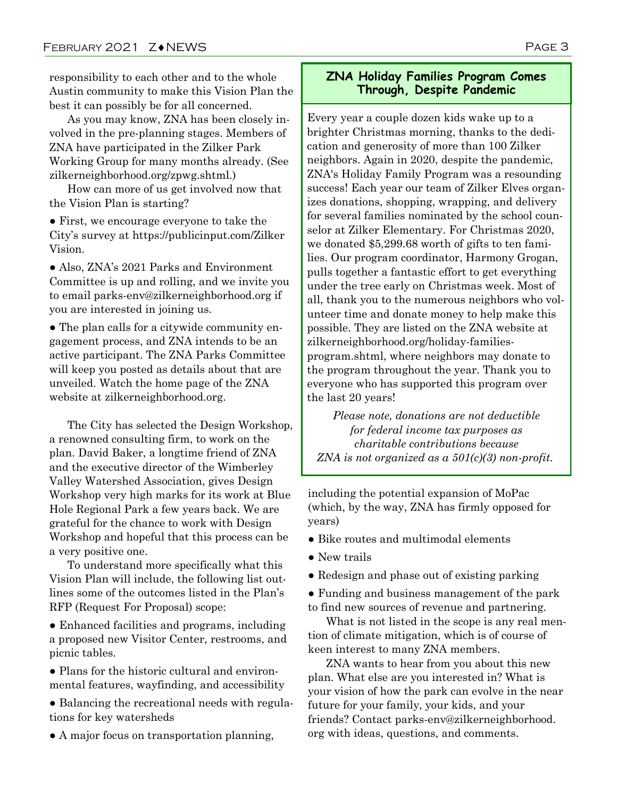responsibility to each other and to the whole Austin community to make this Vision Plan the best it can possibly be for all concerned.

As you may know, ZNA has been closely involved in the pre-planning stages. Members of ZNA have participated in the Zilker Park Working Group for many months already. (See zilkerneighborhood.org/zpwg.shtml.)

How can more of us get involved now that the Vision Plan is starting?

● First, we encourage everyone to take the City's survey at [https://publicinput.com/Zilker](https://publicinput.com/ZilkerVision)  [Vision.](https://publicinput.com/ZilkerVision)

● Also, ZNA's 2021 Parks and Environment Committee is up and rolling, and we invite you to email parks-env@zilkerneighborhood.org if you are interested in joining us.

● The plan calls for a citywide community engagement process, and ZNA intends to be an active participant. The ZNA Parks Committee will keep you posted as details about that are unveiled. Watch the home page of the ZNA website at zilkerneighborhood.org.

The City has selected the Design Workshop, a renowned consulting firm, to work on the plan. David Baker, a longtime friend of ZNA and the executive director of the Wimberley Valley Watershed Association, gives Design Workshop very high marks for its work at Blue Hole Regional Park a few years back. We are grateful for the chance to work with Design Workshop and hopeful that this process can be a very positive one.

To understand more specifically what this Vision Plan will include, the following list outlines some of the outcomes listed in the Plan's RFP (Request For Proposal) scope:

• Enhanced facilities and programs, including a proposed new Visitor Center, restrooms, and picnic tables.

• Plans for the historic cultural and environmental features, wayfinding, and accessibility

● Balancing the recreational needs with regulations for key watersheds

• A major focus on transportation planning,

### **ZNA Holiday Families Program Comes Through, Despite Pandemic**

Every year a couple dozen kids wake up to a brighter Christmas morning, thanks to the dedication and generosity of more than 100 Zilker neighbors. Again in 2020, despite the pandemic, ZNA's Holiday Family Program was a resounding success! Each year our team of Zilker Elves organizes donations, shopping, wrapping, and delivery for several families nominated by the school counselor at Zilker Elementary. For Christmas 2020, we donated \$5,299.68 worth of gifts to ten families. Our program coordinator, Harmony Grogan, pulls together a fantastic effort to get everything under the tree early on Christmas week. Most of all, thank you to the numerous neighbors who volunteer time and donate money to help make this possible. They are listed on the ZNA website at zilkerneighborhood.org/holiday-familiesprogram.shtml, where neighbors may donate to the program throughout the year. Thank you to everyone who has supported this program over the last 20 years!

*Please note, donations are not deductible for federal income tax purposes as charitable contributions because ZNA is not organized as a 501(c)(3) non-profit.*

including the potential expansion of MoPac (which, by the way, ZNA has firmly opposed for years)

- Bike routes and multimodal elements
- New trails
- Redesign and phase out of existing parking

● Funding and business management of the park to find new sources of revenue and partnering.

What is not listed in the scope is any real mention of climate mitigation, which is of course of keen interest to many ZNA members.

ZNA wants to hear from you about this new plan. What else are you interested in? What is your vision of how the park can evolve in the near future for your family, your kids, and your friends? Contact parks-env@zilkerneighborhood. org with ideas, questions, and comments.